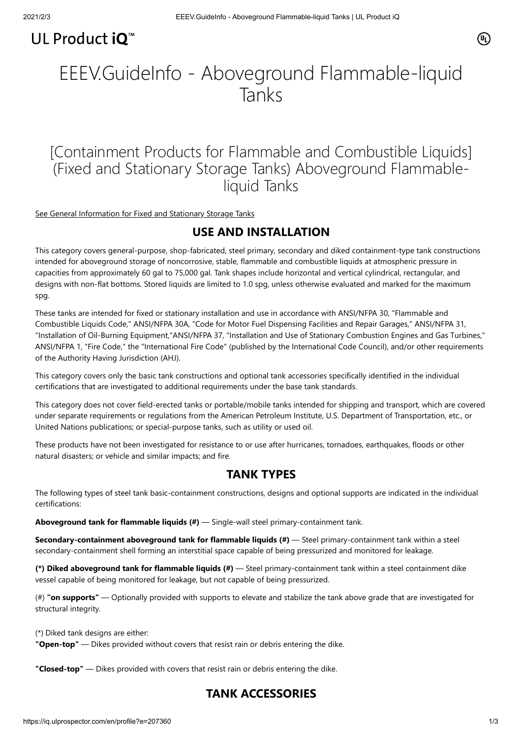# @

# UL Product iQ<sup>™</sup>

# EEEV.GuideInfo - Aboveground Flammable-liquid Tanks

[Containment Products for Flammable and Combustible Liquids] (Fixed and Stationary Storage Tanks) Aboveground Flammableliquid Tanks

[See General Information for Fixed and Stationary Storage Tanks](https://iq.ulprospector.com/cgi-bin/XYV/template/LISEXT/1FRAME/showpage.html?&name=EDQX.GuideInfo&ccnshorttitle=Fixed+and+Stationary+Storage+Tanks&objid=1074230982&cfgid=1073741824&version=versionless&parent_id=1073986058&sequence=1)

# **USE AND INSTALLATION**

This category covers general-purpose, shop-fabricated, steel primary, secondary and diked containment-type tank constructions intended for aboveground storage of noncorrosive, stable, flammable and combustible liquids at atmospheric pressure in capacities from approximately 60 gal to 75,000 gal. Tank shapes include horizontal and vertical cylindrical, rectangular, and designs with non-flat bottoms. Stored liquids are limited to 1.0 spg, unless otherwise evaluated and marked for the maximum spg.

These tanks are intended for fixed or stationary installation and use in accordance with ANSI/NFPA 30, "Flammable and Combustible Liquids Code," ANSI/NFPA 30A, "Code for Motor Fuel Dispensing Facilities and Repair Garages," ANSI/NFPA 31, "Installation of Oil-Burning Equipment,"ANSI/NFPA 37, "Installation and Use of Stationary Combustion Engines and Gas Turbines," ANSI/NFPA 1, "Fire Code," the "International Fire Code" (published by the International Code Council), and/or other requirements of the Authority Having Jurisdiction (AHJ).

This category covers only the basic tank constructions and optional tank accessories specifically identified in the individual certifications that are investigated to additional requirements under the base tank standards.

This category does not cover field-erected tanks or portable/mobile tanks intended for shipping and transport, which are covered under separate requirements or regulations from the American Petroleum Institute, U.S. Department of Transportation, etc., or United Nations publications; or special-purpose tanks, such as utility or used oil.

These products have not been investigated for resistance to or use after hurricanes, tornadoes, earthquakes, floods or other natural disasters; or vehicle and similar impacts; and fire.

# **TANK TYPES**

The following types of steel tank basic-containment constructions, designs and optional supports are indicated in the individual certifications:

**Aboveground tank for flammable liquids (#)** — Single-wall steel primary-containment tank.

**Secondary-containment aboveground tank for flammable liquids (#)** — Steel primary-containment tank within a steel secondary-containment shell forming an interstitial space capable of being pressurized and monitored for leakage.

**(\*) Diked aboveground tank for flammable liquids (#)** — Steel primary-containment tank within a steel containment dike vessel capable of being monitored for leakage, but not capable of being pressurized.

(#) **"on supports"** — Optionally provided with supports to elevate and stabilize the tank above grade that are investigated for structural integrity.

(\*) Diked tank designs are either:

**"Open-top"** — Dikes provided without covers that resist rain or debris entering the dike.

**"Closed-top"** — Dikes provided with covers that resist rain or debris entering the dike.

# **TANK ACCESSORIES**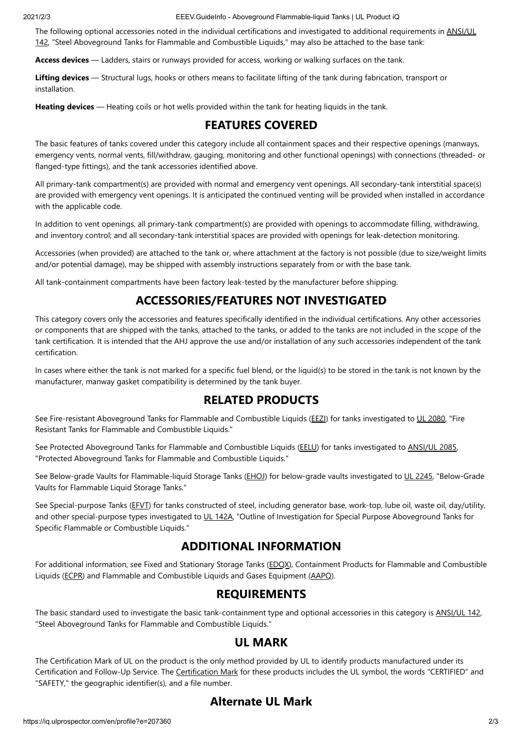2021/2/3 EEEV.GuideInfo - Aboveground Flammable-liquid Tanks | UL Product iQ

[The following optional accessories noted in the individual certifications and investigated to additional requirements in ANSI/UL](https://www.shopulstandards.com/ProductDetail.aspx?productId=UL142) 142, "Steel Aboveground Tanks for Flammable and Combustible Liquids," may also be attached to the base tank:

**Access devices** — Ladders, stairs or runways provided for access, working or walking surfaces on the tank.

**Lifting devices** — Structural lugs, hooks or others means to facilitate lifting of the tank during fabrication, transport or installation.

**Heating devices** — Heating coils or hot wells provided within the tank for heating liquids in the tank.

# **FEATURES COVERED**

The basic features of tanks covered under this category include all containment spaces and their respective openings (manways, emergency vents, normal vents, fill/withdraw, gauging, monitoring and other functional openings) with connections (threaded- or flanged-type fittings), and the tank accessories identified above.

All primary-tank compartment(s) are provided with normal and emergency vent openings. All secondary-tank interstitial space(s) are provided with emergency vent openings. It is anticipated the continued venting will be provided when installed in accordance with the applicable code.

In addition to vent openings, all primary-tank compartment(s) are provided with openings to accommodate filling, withdrawing, and inventory control; and all secondary-tank interstitial spaces are provided with openings for leak-detection monitoring.

Accessories (when provided) are attached to the tank or, where attachment at the factory is not possible (due to size/weight limits and/or potential damage), may be shipped with assembly instructions separately from or with the base tank.

All tank-containment compartments have been factory leak-tested by the manufacturer before shipping.

# **ACCESSORIES/FEATURES NOT INVESTIGATED**

This category covers only the accessories and features specifically identified in the individual certifications. Any other accessories or components that are shipped with the tanks, attached to the tanks, or added to the tanks are not included in the scope of the tank certification. It is intended that the AHJ approve the use and/or installation of any such accessories independent of the tank certification.

In cases where either the tank is not marked for a specific fuel blend, or the liquid(s) to be stored in the tank is not known by the manufacturer, manway gasket compatibility is determined by the tank buyer.

# **RELATED PRODUCTS**

See Fire-resistant Aboveground Tanks for Flammable and Combustible Liquids ([EEZI\)](https://database.ul.com/cgi-bin/XYV/cgifind/LISEXT/1FRAME/srchres.html?collection=/data3/verity_collections/lisext&vdkhome=/data3/verity_sw_rev24/common&SORT_BY=textlines:asc,ccnshorttitle:asc&query=EEZI%3CIN%3ECCN+and+GuideInfo) for tanks investigated to [UL 2080,](https://www.shopulstandards.com/ProductDetail.aspx?productId=UL2080) "Fire Resistant Tanks for Flammable and Combustible Liquids."

See Protected Aboveground Tanks for Flammable and Combustible Liquids ([EELU](https://database.ul.com/cgi-bin/XYV/cgifind/LISEXT/1FRAME/srchres.html?collection=/data3/verity_collections/lisext&vdkhome=/data3/verity_sw_rev24/common&SORT_BY=textlines:asc,ccnshorttitle:asc&query=EELU%3CIN%3ECCN+and+GuideInfo)) for tanks investigated to [ANSI/UL 2085,](https://www.shopulstandards.com/ProductDetail.aspx?productId=UL2085) "Protected Aboveground Tanks for Flammable and Combustible Liquids."

See Below-grade Vaults for Flammable-liquid Storage Tanks [\(EHOJ](https://database.ul.com/cgi-bin/XYV/cgifind/LISEXT/1FRAME/srchres.html?collection=/data3/verity_collections/lisext&vdkhome=/data3/verity_sw_rev24/common&SORT_BY=textlines:asc,ccnshorttitle:asc&query=EHOJ%3CIN%3ECCN+and+GuideInfo)) for below-grade vaults investigated to [UL 2245](https://www.shopulstandards.com/ProductDetail.aspx?productId=UL2245), "Below-Grade Vaults for Flammable Liquid Storage Tanks."

See Special-purpose Tanks ([EFVT\)](https://database.ul.com/cgi-bin/XYV/cgifind/LISEXT/1FRAME/srchres.html?collection=/data3/verity_collections/lisext&vdkhome=/data3/verity_sw_rev24/common&SORT_BY=textlines:asc,ccnshorttitle:asc&query=EFVT%3CIN%3ECCN+and+GuideInfo) for tanks constructed of steel, including generator base, work-top, lube oil, waste oil, day/utility, and other special-purpose types investigated to [UL 142A](https://www.shopulstandards.com/ProductDetail.aspx?productId=UL142A), "Outline of Investigation for Special Purpose Aboveground Tanks for Specific Flammable or Combustible Liquids."

# **ADDITIONAL INFORMATION**

For additional information, see Fixed and Stationary Storage Tanks [\(EDQX\)](https://database.ul.com/cgi-bin/XYV/cgifind/LISEXT/1FRAME/srchres.html?collection=/data3/verity_collections/lisext&vdkhome=/data3/verity_sw_rev24/common&SORT_BY=textlines:asc,ccnshorttitle:asc&query=EDQX%3CIN%3ECCN+and+GuideInfo), Containment Products for Flammable and Combustible Liquids [\(ECPR](https://database.ul.com/cgi-bin/XYV/cgifind/LISEXT/1FRAME/srchres.html?collection=/data3/verity_collections/lisext&vdkhome=/data3/verity_sw_rev24/common&SORT_BY=textlines:asc,ccnshorttitle:asc&query=ECPR%3CIN%3ECCN+and+GuideInfo)) and Flammable and Combustible Liquids and Gases Equipment ([AAPQ](https://database.ul.com/cgi-bin/XYV/cgifind/LISEXT/1FRAME/srchres.html?collection=/data3/verity_collections/lisext&vdkhome=/data3/verity_sw_rev24/common&SORT_BY=textlines:asc,ccnshorttitle:asc&query=AAPQ%3CIN%3ECCN+and+GuideInfo)).

### **REQUIREMENTS**

The basic standard used to investigate the basic tank-containment type and optional accessories in this category is [ANSI/UL 142,](https://www.shopulstandards.com/ProductDetail.aspx?productId=UL142) "Steel Aboveground Tanks for Flammable and Combustible Liquids."

# **UL MARK**

The Certification Mark of UL on the product is the only method provided by UL to identify products manufactured under its Certification and Follow-Up Service. The [Certification Mark](https://markshub.ul.com/) for these products includes the UL symbol, the words "CERTIFIED" and "SAFETY," the geographic identifier(s), and a file number.

# **Alternate UL Mark**